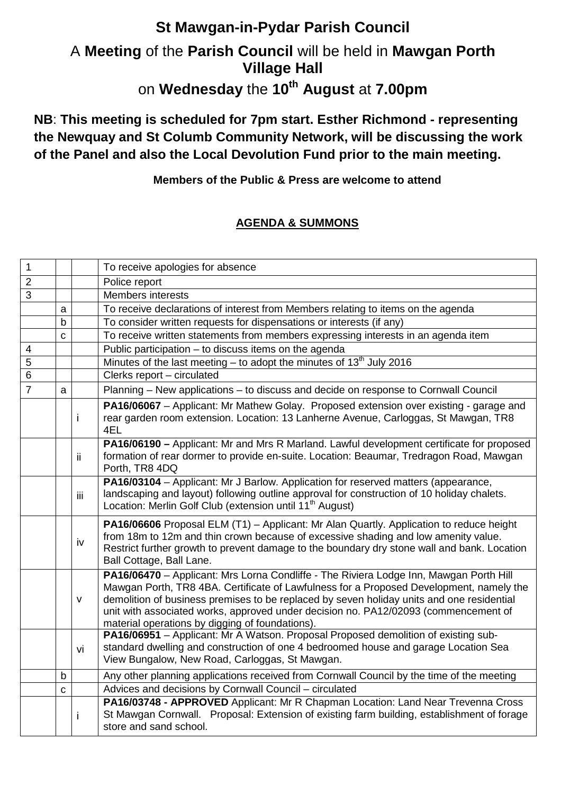## **St Mawgan-in-Pydar Parish Council**  A **Meeting** of the **Parish Council** will be held in **Mawgan Porth Village Hall**  on **Wednesday** the **10th August** at **7.00pm**

**NB**: **This meeting is scheduled for 7pm start. Esther Richmond - representing the Newquay and St Columb Community Network, will be discussing the work of the Panel and also the Local Devolution Fund prior to the main meeting.**

**Members of the Public & Press are welcome to attend**

## **AGENDA & SUMMONS**

| $\mathbf 1$             |             |              | To receive apologies for absence                                                                                                                                                                                                                                                                                                                                                                                         |
|-------------------------|-------------|--------------|--------------------------------------------------------------------------------------------------------------------------------------------------------------------------------------------------------------------------------------------------------------------------------------------------------------------------------------------------------------------------------------------------------------------------|
| $\overline{2}$          |             |              | Police report                                                                                                                                                                                                                                                                                                                                                                                                            |
| 3                       |             |              | Members interests                                                                                                                                                                                                                                                                                                                                                                                                        |
|                         | a           |              | To receive declarations of interest from Members relating to items on the agenda                                                                                                                                                                                                                                                                                                                                         |
|                         | $\mathsf b$ |              | To consider written requests for dispensations or interests (if any)                                                                                                                                                                                                                                                                                                                                                     |
|                         | C           |              | To receive written statements from members expressing interests in an agenda item                                                                                                                                                                                                                                                                                                                                        |
| $\overline{\mathbf{4}}$ |             |              | Public participation - to discuss items on the agenda                                                                                                                                                                                                                                                                                                                                                                    |
| $\overline{5}$          |             |              | Minutes of the last meeting – to adopt the minutes of $13th$ July 2016                                                                                                                                                                                                                                                                                                                                                   |
| 6                       |             |              | Clerks report - circulated                                                                                                                                                                                                                                                                                                                                                                                               |
| $\overline{7}$          | a           |              | Planning - New applications - to discuss and decide on response to Cornwall Council                                                                                                                                                                                                                                                                                                                                      |
|                         |             |              | PA16/06067 - Applicant: Mr Mathew Golay. Proposed extension over existing - garage and<br>rear garden room extension. Location: 13 Lanherne Avenue, Carloggas, St Mawgan, TR8<br>4EL                                                                                                                                                                                                                                     |
|                         |             | ii.          | PA16/06190 - Applicant: Mr and Mrs R Marland. Lawful development certificate for proposed<br>formation of rear dormer to provide en-suite. Location: Beaumar, Tredragon Road, Mawgan<br>Porth, TR8 4DQ                                                                                                                                                                                                                   |
|                         |             | iij          | PA16/03104 - Applicant: Mr J Barlow. Application for reserved matters (appearance,<br>landscaping and layout) following outline approval for construction of 10 holiday chalets.<br>Location: Merlin Golf Club (extension until 11 <sup>th</sup> August)                                                                                                                                                                 |
|                         |             | iv           | PA16/06606 Proposal ELM (T1) - Applicant: Mr Alan Quartly. Application to reduce height<br>from 18m to 12m and thin crown because of excessive shading and low amenity value.<br>Restrict further growth to prevent damage to the boundary dry stone wall and bank. Location<br>Ball Cottage, Ball Lane.                                                                                                                 |
|                         |             | $\mathsf{V}$ | PA16/06470 - Applicant: Mrs Lorna Condliffe - The Riviera Lodge Inn, Mawgan Porth Hill<br>Mawgan Porth, TR8 4BA. Certificate of Lawfulness for a Proposed Development, namely the<br>demolition of business premises to be replaced by seven holiday units and one residential<br>unit with associated works, approved under decision no. PA12/02093 (commencement of<br>material operations by digging of foundations). |
|                         |             | vi           | PA16/06951 - Applicant: Mr A Watson. Proposal Proposed demolition of existing sub-<br>standard dwelling and construction of one 4 bedroomed house and garage Location Sea<br>View Bungalow, New Road, Carloggas, St Mawgan.                                                                                                                                                                                              |
|                         | b           |              | Any other planning applications received from Cornwall Council by the time of the meeting                                                                                                                                                                                                                                                                                                                                |
|                         | $\mathbf c$ |              | Advices and decisions by Cornwall Council - circulated                                                                                                                                                                                                                                                                                                                                                                   |
|                         |             |              | PA16/03748 - APPROVED Applicant: Mr R Chapman Location: Land Near Trevenna Cross<br>St Mawgan Cornwall. Proposal: Extension of existing farm building, establishment of forage<br>store and sand school.                                                                                                                                                                                                                 |